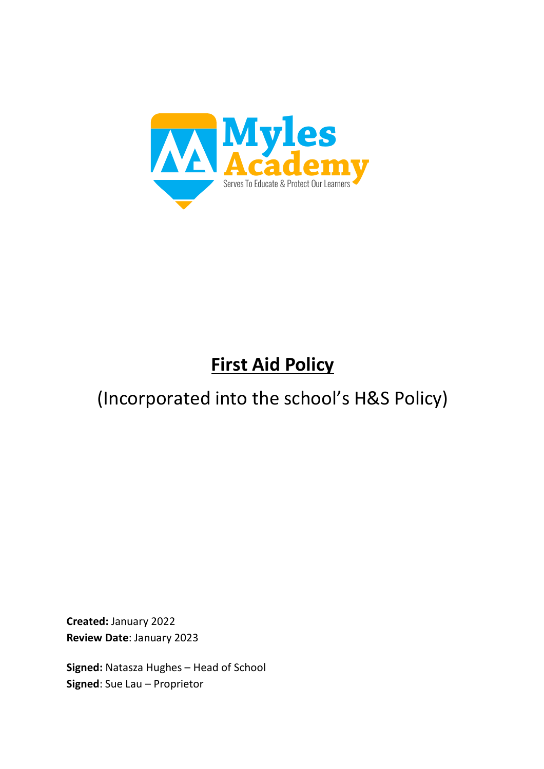

# **First Aid Policy**

## (Incorporated into the school's H&S Policy)

**Created:** January 2022 **Review Date**: January 2023

**Signed:** Natasza Hughes – Head of School **Signed**: Sue Lau – Proprietor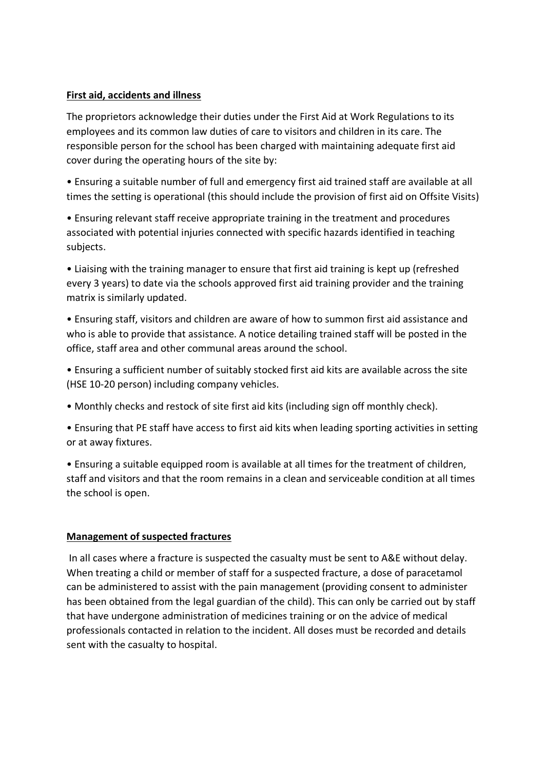#### **First aid, accidents and illness**

The proprietors acknowledge their duties under the First Aid at Work Regulations to its employees and its common law duties of care to visitors and children in its care. The responsible person for the school has been charged with maintaining adequate first aid cover during the operating hours of the site by:

• Ensuring a suitable number of full and emergency first aid trained staff are available at all times the setting is operational (this should include the provision of first aid on Offsite Visits)

• Ensuring relevant staff receive appropriate training in the treatment and procedures associated with potential injuries connected with specific hazards identified in teaching subjects.

• Liaising with the training manager to ensure that first aid training is kept up (refreshed every 3 years) to date via the schools approved first aid training provider and the training matrix is similarly updated.

• Ensuring staff, visitors and children are aware of how to summon first aid assistance and who is able to provide that assistance. A notice detailing trained staff will be posted in the office, staff area and other communal areas around the school.

• Ensuring a sufficient number of suitably stocked first aid kits are available across the site (HSE 10-20 person) including company vehicles.

• Monthly checks and restock of site first aid kits (including sign off monthly check).

• Ensuring that PE staff have access to first aid kits when leading sporting activities in setting or at away fixtures.

• Ensuring a suitable equipped room is available at all times for the treatment of children, staff and visitors and that the room remains in a clean and serviceable condition at all times the school is open.

## **Management of suspected fractures**

In all cases where a fracture is suspected the casualty must be sent to A&E without delay. When treating a child or member of staff for a suspected fracture, a dose of paracetamol can be administered to assist with the pain management (providing consent to administer has been obtained from the legal guardian of the child). This can only be carried out by staff that have undergone administration of medicines training or on the advice of medical professionals contacted in relation to the incident. All doses must be recorded and details sent with the casualty to hospital.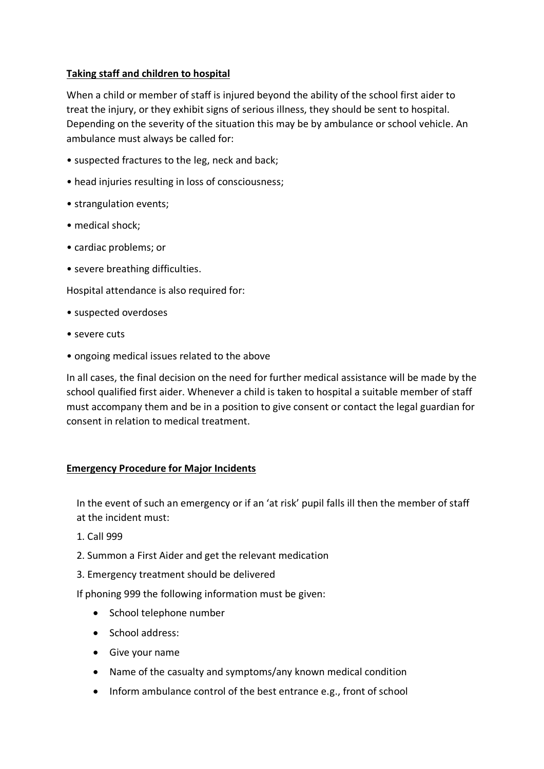## **Taking staff and children to hospital**

When a child or member of staff is injured beyond the ability of the school first aider to treat the injury, or they exhibit signs of serious illness, they should be sent to hospital. Depending on the severity of the situation this may be by ambulance or school vehicle. An ambulance must always be called for:

- suspected fractures to the leg, neck and back;
- head injuries resulting in loss of consciousness;
- strangulation events;
- medical shock;
- cardiac problems; or
- severe breathing difficulties.

Hospital attendance is also required for:

- suspected overdoses
- severe cuts
- ongoing medical issues related to the above

In all cases, the final decision on the need for further medical assistance will be made by the school qualified first aider. Whenever a child is taken to hospital a suitable member of staff must accompany them and be in a position to give consent or contact the legal guardian for consent in relation to medical treatment.

## **Emergency Procedure for Major Incidents**

In the event of such an emergency or if an 'at risk' pupil falls ill then the member of staff at the incident must:

- 1. Call 999
- 2. Summon a First Aider and get the relevant medication
- 3. Emergency treatment should be delivered

If phoning 999 the following information must be given:

- School telephone number
- School address:
- Give your name
- Name of the casualty and symptoms/any known medical condition
- Inform ambulance control of the best entrance e.g., front of school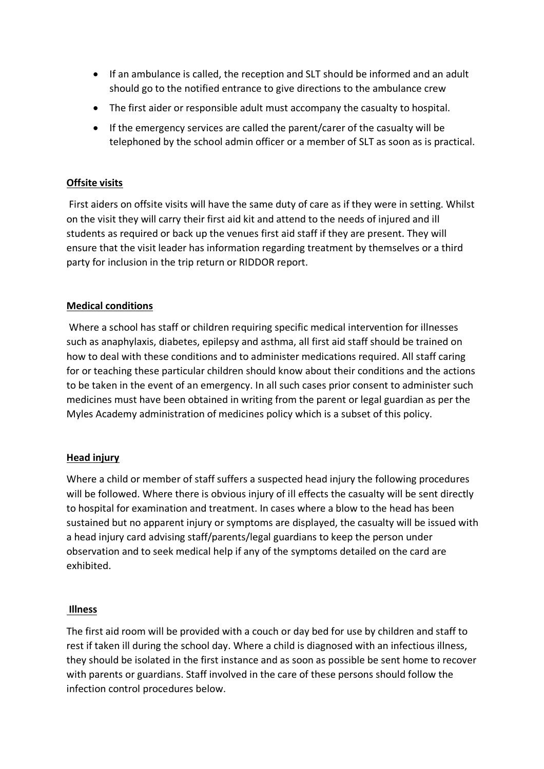- If an ambulance is called, the reception and SLT should be informed and an adult should go to the notified entrance to give directions to the ambulance crew
- The first aider or responsible adult must accompany the casualty to hospital.
- If the emergency services are called the parent/carer of the casualty will be telephoned by the school admin officer or a member of SLT as soon as is practical.

## **Offsite visits**

First aiders on offsite visits will have the same duty of care as if they were in setting. Whilst on the visit they will carry their first aid kit and attend to the needs of injured and ill students as required or back up the venues first aid staff if they are present. They will ensure that the visit leader has information regarding treatment by themselves or a third party for inclusion in the trip return or RIDDOR report.

#### **Medical conditions**

Where a school has staff or children requiring specific medical intervention for illnesses such as anaphylaxis, diabetes, epilepsy and asthma, all first aid staff should be trained on how to deal with these conditions and to administer medications required. All staff caring for or teaching these particular children should know about their conditions and the actions to be taken in the event of an emergency. In all such cases prior consent to administer such medicines must have been obtained in writing from the parent or legal guardian as per the Myles Academy administration of medicines policy which is a subset of this policy.

## **Head injury**

Where a child or member of staff suffers a suspected head injury the following procedures will be followed. Where there is obvious injury of ill effects the casualty will be sent directly to hospital for examination and treatment. In cases where a blow to the head has been sustained but no apparent injury or symptoms are displayed, the casualty will be issued with a head injury card advising staff/parents/legal guardians to keep the person under observation and to seek medical help if any of the symptoms detailed on the card are exhibited.

#### **Illness**

The first aid room will be provided with a couch or day bed for use by children and staff to rest if taken ill during the school day. Where a child is diagnosed with an infectious illness, they should be isolated in the first instance and as soon as possible be sent home to recover with parents or guardians. Staff involved in the care of these persons should follow the infection control procedures below.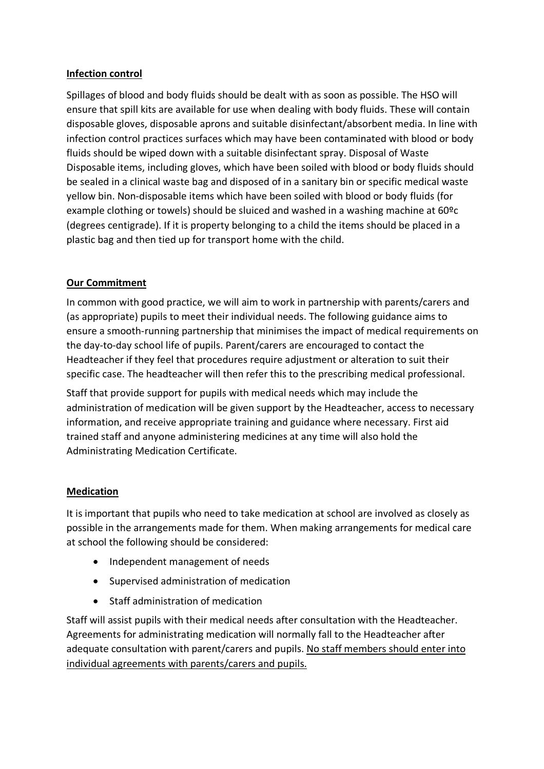## **Infection control**

Spillages of blood and body fluids should be dealt with as soon as possible. The HSO will ensure that spill kits are available for use when dealing with body fluids. These will contain disposable gloves, disposable aprons and suitable disinfectant/absorbent media. In line with infection control practices surfaces which may have been contaminated with blood or body fluids should be wiped down with a suitable disinfectant spray. Disposal of Waste Disposable items, including gloves, which have been soiled with blood or body fluids should be sealed in a clinical waste bag and disposed of in a sanitary bin or specific medical waste yellow bin. Non-disposable items which have been soiled with blood or body fluids (for example clothing or towels) should be sluiced and washed in a washing machine at 60ºc (degrees centigrade). If it is property belonging to a child the items should be placed in a plastic bag and then tied up for transport home with the child.

## **Our Commitment**

In common with good practice, we will aim to work in partnership with parents/carers and (as appropriate) pupils to meet their individual needs. The following guidance aims to ensure a smooth-running partnership that minimises the impact of medical requirements on the day-to-day school life of pupils. Parent/carers are encouraged to contact the Headteacher if they feel that procedures require adjustment or alteration to suit their specific case. The headteacher will then refer this to the prescribing medical professional.

Staff that provide support for pupils with medical needs which may include the administration of medication will be given support by the Headteacher, access to necessary information, and receive appropriate training and guidance where necessary. First aid trained staff and anyone administering medicines at any time will also hold the Administrating Medication Certificate.

## **Medication**

It is important that pupils who need to take medication at school are involved as closely as possible in the arrangements made for them. When making arrangements for medical care at school the following should be considered:

- Independent management of needs
- Supervised administration of medication
- Staff administration of medication

Staff will assist pupils with their medical needs after consultation with the Headteacher. Agreements for administrating medication will normally fall to the Headteacher after adequate consultation with parent/carers and pupils. No staff members should enter into individual agreements with parents/carers and pupils.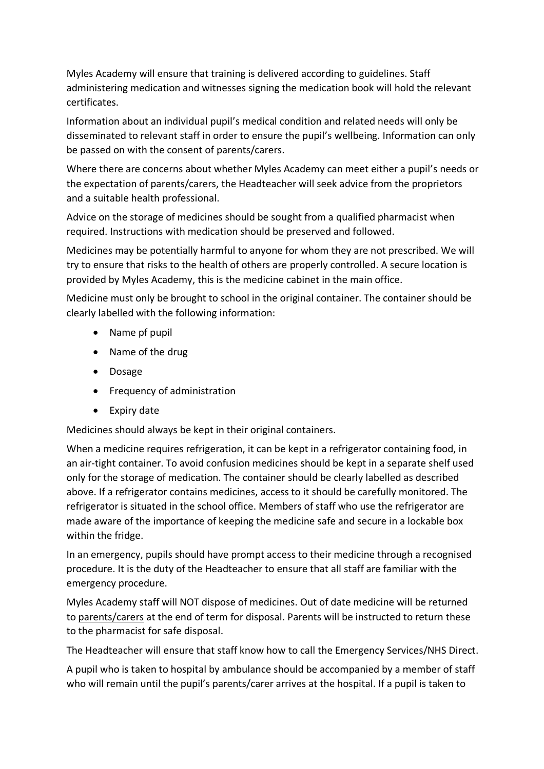Myles Academy will ensure that training is delivered according to guidelines. Staff administering medication and witnesses signing the medication book will hold the relevant certificates.

Information about an individual pupil's medical condition and related needs will only be disseminated to relevant staff in order to ensure the pupil's wellbeing. Information can only be passed on with the consent of parents/carers.

Where there are concerns about whether Myles Academy can meet either a pupil's needs or the expectation of parents/carers, the Headteacher will seek advice from the proprietors and a suitable health professional.

Advice on the storage of medicines should be sought from a qualified pharmacist when required. Instructions with medication should be preserved and followed.

Medicines may be potentially harmful to anyone for whom they are not prescribed. We will try to ensure that risks to the health of others are properly controlled. A secure location is provided by Myles Academy, this is the medicine cabinet in the main office.

Medicine must only be brought to school in the original container. The container should be clearly labelled with the following information:

- Name pf pupil
- Name of the drug
- Dosage
- Frequency of administration
- Expiry date

Medicines should always be kept in their original containers.

When a medicine requires refrigeration, it can be kept in a refrigerator containing food, in an air-tight container. To avoid confusion medicines should be kept in a separate shelf used only for the storage of medication. The container should be clearly labelled as described above. If a refrigerator contains medicines, access to it should be carefully monitored. The refrigerator is situated in the school office. Members of staff who use the refrigerator are made aware of the importance of keeping the medicine safe and secure in a lockable box within the fridge.

In an emergency, pupils should have prompt access to their medicine through a recognised procedure. It is the duty of the Headteacher to ensure that all staff are familiar with the emergency procedure.

Myles Academy staff will NOT dispose of medicines. Out of date medicine will be returned to parents/carers at the end of term for disposal. Parents will be instructed to return these to the pharmacist for safe disposal.

The Headteacher will ensure that staff know how to call the Emergency Services/NHS Direct.

A pupil who is taken to hospital by ambulance should be accompanied by a member of staff who will remain until the pupil's parents/carer arrives at the hospital. If a pupil is taken to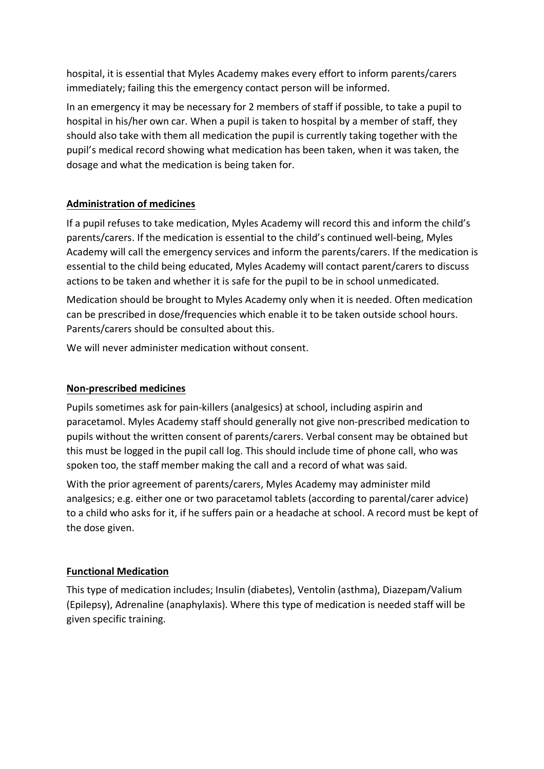hospital, it is essential that Myles Academy makes every effort to inform parents/carers immediately; failing this the emergency contact person will be informed.

In an emergency it may be necessary for 2 members of staff if possible, to take a pupil to hospital in his/her own car. When a pupil is taken to hospital by a member of staff, they should also take with them all medication the pupil is currently taking together with the pupil's medical record showing what medication has been taken, when it was taken, the dosage and what the medication is being taken for.

## **Administration of medicines**

If a pupil refuses to take medication, Myles Academy will record this and inform the child's parents/carers. If the medication is essential to the child's continued well-being, Myles Academy will call the emergency services and inform the parents/carers. If the medication is essential to the child being educated, Myles Academy will contact parent/carers to discuss actions to be taken and whether it is safe for the pupil to be in school unmedicated.

Medication should be brought to Myles Academy only when it is needed. Often medication can be prescribed in dose/frequencies which enable it to be taken outside school hours. Parents/carers should be consulted about this.

We will never administer medication without consent.

## **Non-prescribed medicines**

Pupils sometimes ask for pain-killers (analgesics) at school, including aspirin and paracetamol. Myles Academy staff should generally not give non-prescribed medication to pupils without the written consent of parents/carers. Verbal consent may be obtained but this must be logged in the pupil call log. This should include time of phone call, who was spoken too, the staff member making the call and a record of what was said.

With the prior agreement of parents/carers, Myles Academy may administer mild analgesics; e.g. either one or two paracetamol tablets (according to parental/carer advice) to a child who asks for it, if he suffers pain or a headache at school. A record must be kept of the dose given.

## **Functional Medication**

This type of medication includes; Insulin (diabetes), Ventolin (asthma), Diazepam/Valium (Epilepsy), Adrenaline (anaphylaxis). Where this type of medication is needed staff will be given specific training.